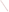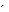# **Consumer Factsheet on: CHLORDANE**

[List of Contaminants](http://www.epa.gov/safewater/hfacts.html) 

 As part of the Drinking Water and Health pages, this fact sheet is part of a larger publication: **National Primary Drinking Water Regulations** 

 States Environmental Protection Agency (EPA). This is a factsheet about a chemical that may be found in some public or private drinking water supplies. It may cause health problems if found in amounts greater than the health standard set by the United

## **What is Chlordane and how is it used?**

Chlordane is a viscous liquid, colorless to amber, with a slight chlorine-like aromatic odor. It was used on corn, citrus, deciduous fruits and nuts, vegetables; for home, garden and ornamentals; lawns, turf, ditchbanks and roadsides. It was applied directly to soil or foliage to control a variety of insect pests including parasitic roundworms and other nematodes, termites, cutworms, chiggers, leafhoppers. The only commercial use of chlordane products still permitted is for fire ant control in power transformers.

 The list of trade names given below may help you find out whether you are using this chemical at home or work.

### **Trade Names and Synonyms:**

 Velsicol 1068 Aspon-chlordane Belt Chlorindan Chlor-Kil Cortilan-Neu Dowchlor **Oktachlor Oktaterr** Synklor Tat Chlor 4 **Topiclor Toxichlor** Intox 8 Gold Crest C-100 Kilex Kypchlor Niran Termi-Ded Prentox Pentiklor

# **Why is Chlordane being Regulated?**

 based solely on possible health risks and exposure, are called Maximum Contaminant Level Goals. In 1974, Congress passed the Safe Drinking Water Act. This law requires EPA to determine safe levels of chemicals in drinking water which do or may cause health problems. These non-enforceable levels,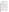The MCLG for chlordane has been set at zero because EPA believes this level of protection would not cause any of the potential health problems described below. Based on this MCLG, EPA has set an enforceable standard called a Maximum Contaminant Level (MCL). MCLs are set as close to the MCLGs as possible, considering the ability of public water systems to detect and remove contaminants using suitable treatment technologies.

 contaminant should it occur in drinking water. The MCL has been set at 2 parts per billion (ppb) because EPA believes, given present technology and resources, this is the lowest level to which water systems can reasonably be required to remove this

These drinking water standards and the regulations for ensuring these standards are met, are called National Primary Drinking Water Regulations. All public water supplies must abide by these regulations.

### **What are the Health Effects?**

 exposed to it at levels above the MCL for relatively short periods of time: central nervous system effects - Short-term: EPA has found chlordane to potentially cause the following health effects when people are including irritability, excess salivation, labored breathing, tremors, convulsions, deep depression - and blood system effects such as anemia and certain types of leukemia.

 Long-term: Chlordane has the potential to cause the following effects from a lifetime exposure at levels above the MCL: damage to liver, kidneys, heart, lungs, spleen and adrenal glands; cancer.

## **How much Chlordane is produced and released to the environment?**

 Chlordane has been released into the environment primarily from its application as an insecticide. The amount of chlordane used annually in the US prior to 1983 was estimated in 1985 to be greater that 3.6 million pounds. As of April 14, 1988, however, all commercial use of chlordane in the US has been canceled.

## **What happens to Chlordane when it is released to the environment?**

 Chlordane may persist for long periods of time in air, soil and water. Though chlordane tends to adhere to soil, its detection in various groundwaters in NJ and elsewhere indicates that it can leach to groundwater. It is only very slowly broken down by microbes. Chlordane has been detected in air samples in remote areas such as over the Pacific and Atlantic Oceans, and in the Arctic.

 reversible once exposure is stopped. Chlordane has a great tendency to accumulate in aquatic organisms, but there is evidence that this is

## **How will Chlordane be Detected in and Removed from My Drinking Water?**

 The regulation for chlordane became effective in 1992. Between 1993 and 1995, EPA required your water supplier to collect water samples every 3 months for one year and analyze them to find out if chlordane is contaminant. present above 0.2 ppb. If it is present above this level, the system must continue to monitor this

 methods have been approved by EPA for removing chlordane: granular activated charcoal. If contaminant levels are found to be consistently above the MCL, your water supplier must take steps to reduce the amount of chlordane so that it is consistently below that level. The following treatment